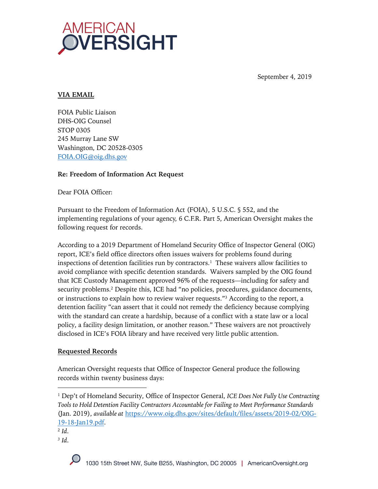

September 4, 2019

## **VIA EMAIL**

FOIA Public Liaison DHS-OIG Counsel STOP 0305 245 Murray Lane SW Washington, DC 20528-0305 FOIA.OIG@oig.dhs.gov

### **Re: Freedom of Information Act Request**

Dear FOIA Officer:

Pursuant to the Freedom of Information Act (FOIA), 5 U.S.C. § 552, and the implementing regulations of your agency, 6 C.F.R. Part 5, American Oversight makes the following request for records.

According to a 2019 Department of Homeland Security Office of Inspector General (OIG) report, ICE's field office directors often issues waivers for problems found during inspections of detention facilities run by contractors. <sup>1</sup> These waivers allow facilities to avoid compliance with specific detention standards. Waivers sampled by the OIG found that ICE Custody Management approved 96% of the requests—including for safety and security problems.2 Despite this, ICE had "no policies, procedures, guidance documents, or instructions to explain how to review waiver requests."3 According to the report, a detention facility "can assert that it could not remedy the deficiency because complying with the standard can create a hardship, because of a conflict with a state law or a local policy, a facility design limitation, or another reason." These waivers are not proactively disclosed in ICE's FOIA library and have received very little public attention.

## **Requested Records**

American Oversight requests that Office of Inspector General produce the following records within twenty business days:

*<sup>3</sup> Id*.



<sup>1</sup> Dep't of Homeland Security, Office of Inspector General, *ICE Does Not Fully Use Contracting Tools to Hold Detention Facility Contractors Accountable for Failing to Meet Performance Standards* (Jan. 2019), *available at* https://www.oig.dhs.gov/sites/default/files/assets/2019-02/OIG-19-18-Jan19.pdf.

<sup>2</sup> *Id*.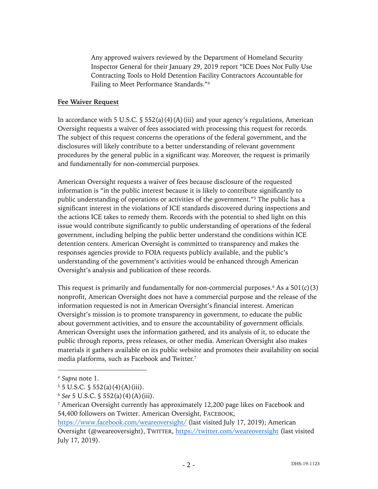Any approved waivers reviewed by the Department of Homeland Security Inspector General for their January 29, 2019 report "ICE Does Not Fully Use Contracting Tools to Hold Detention Facility Contractors Accountable for Failing to Meet Performance Standards."4

#### **Fee Waiver Request**

In accordance with 5 U.S.C.  $\S$  552(a)(4)(A)(iii) and your agency's regulations, American Oversight requests a waiver of fees associated with processing this request for records. The subject of this request concerns the operations of the federal government, and the disclosures will likely contribute to a better understanding of relevant government procedures by the general public in a significant way. Moreover, the request is primarily and fundamentally for non-commercial purposes.

American Oversight requests a waiver of fees because disclosure of the requested information is "in the public interest because it is likely to contribute significantly to public understanding of operations or activities of the government."5 The public has a significant interest in the violations of ICE standards discovered during inspections and the actions ICE takes to remedy them. Records with the potential to shed light on this issue would contribute significantly to public understanding of operations of the federal government, including helping the public better understand the conditions within ICE detention centers. American Oversight is committed to transparency and makes the responses agencies provide to FOIA requests publicly available, and the public's understanding of the government's activities would be enhanced through American Oversight's analysis and publication of these records.

This request is primarily and fundamentally for non-commercial purposes.<sup>6</sup> As a  $501(c)(3)$ nonprofit, American Oversight does not have a commercial purpose and the release of the information requested is not in American Oversight's financial interest. American Oversight's mission is to promote transparency in government, to educate the public about government activities, and to ensure the accountability of government officials. American Oversight uses the information gathered, and its analysis of it, to educate the public through reports, press releases, or other media. American Oversight also makes materials it gathers available on its public website and promotes their availability on social media platforms, such as Facebook and Twitter.7

*<sup>4</sup> Supra* note 1.

 $5 \text{ J.S.C. }$  \$ 552(a)(4)(A)(iii).

<sup>6</sup> *See* 5 U.S.C. § 552(a)(4)(A)(iii).

<sup>7</sup> American Oversight currently has approximately 12,200 page likes on Facebook and 54,400 followers on Twitter. American Oversight, FACEBOOK,

https://www.facebook.com/weareoversight/ (last visited July 17, 2019); American Oversight (@weareoversight), TWITTER, https://twitter.com/weareoversight (last visited July 17, 2019).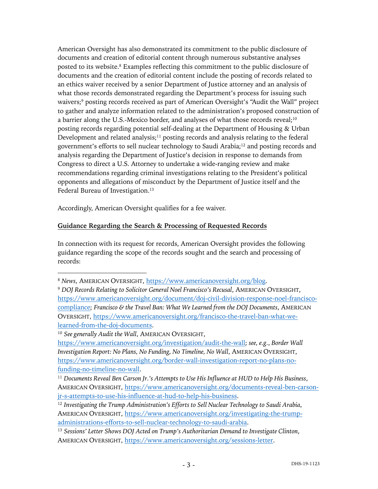American Oversight has also demonstrated its commitment to the public disclosure of documents and creation of editorial content through numerous substantive analyses posted to its website. <sup>8</sup> Examples reflecting this commitment to the public disclosure of documents and the creation of editorial content include the posting of records related to an ethics waiver received by a senior Department of Justice attorney and an analysis of what those records demonstrated regarding the Department's process for issuing such waivers;9 posting records received as part of American Oversight's "Audit the Wall" project to gather and analyze information related to the administration's proposed construction of a barrier along the U.S.-Mexico border, and analyses of what those records reveal;10 posting records regarding potential self-dealing at the Department of Housing & Urban Development and related analysis;<sup>11</sup> posting records and analysis relating to the federal government's efforts to sell nuclear technology to Saudi Arabia;12 and posting records and analysis regarding the Department of Justice's decision in response to demands from Congress to direct a U.S. Attorney to undertake a wide-ranging review and make recommendations regarding criminal investigations relating to the President's political opponents and allegations of misconduct by the Department of Justice itself and the Federal Bureau of Investigation.<sup>13</sup>

Accordingly, American Oversight qualifies for a fee waiver.

# **Guidance Regarding the Search & Processing of Requested Records**

In connection with its request for records, American Oversight provides the following guidance regarding the scope of the records sought and the search and processing of records:

<sup>10</sup> *See generally Audit the Wall*, AMERICAN OVERSIGHT,

<sup>8</sup> *News*, AMERICAN OVERSIGHT, https://www.americanoversight.org/blog.

<sup>9</sup> *DOJ Records Relating to Solicitor General Noel Francisco's Recusal*, AMERICAN OVERSIGHT, https://www.americanoversight.org/document/doj-civil-division-response-noel-franciscocompliance; *Francisco & the Travel Ban: What We Learned from the DOJ Documents*, AMERICAN OVERSIGHT, https://www.americanoversight.org/francisco-the-travel-ban-what-welearned-from-the-doj-documents.

https://www.americanoversight.org/investigation/audit-the-wall; *see, e.g.*, *Border Wall Investigation Report: No Plans, No Funding, No Timeline, No Wall*, AMERICAN OVERSIGHT, https://www.americanoversight.org/border-wall-investigation-report-no-plans-nofunding-no-timeline-no-wall.

<sup>11</sup> *Documents Reveal Ben Carson Jr.'s Attempts to Use His Influence at HUD to Help His Business*, AMERICAN OVERSIGHT, https://www.americanoversight.org/documents-reveal-ben-carsonjr-s-attempts-to-use-his-influence-at-hud-to-help-his-business.

<sup>12</sup> *Investigating the Trump Administration's Efforts to Sell Nuclear Technology to Saudi Arabia*, AMERICAN OVERSIGHT, https://www.americanoversight.org/investigating-the-trumpadministrations-efforts-to-sell-nuclear-technology-to-saudi-arabia.

<sup>13</sup> *Sessions' Letter Shows DOJ Acted on Trump's Authoritarian Demand to Investigate Clinton*, AMERICAN OVERSIGHT, https://www.americanoversight.org/sessions-letter.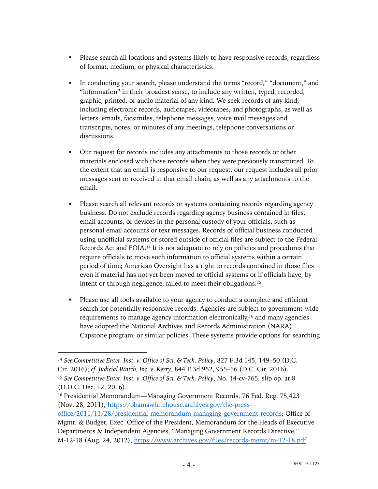- Please search all locations and systems likely to have responsive records, regardless of format, medium, or physical characteristics.
- § In conducting your search, please understand the terms "record," "document," and "information" in their broadest sense, to include any written, typed, recorded, graphic, printed, or audio material of any kind. We seek records of any kind, including electronic records, audiotapes, videotapes, and photographs, as well as letters, emails, facsimiles, telephone messages, voice mail messages and transcripts, notes, or minutes of any meetings, telephone conversations or discussions.
- Our request for records includes any attachments to those records or other materials enclosed with those records when they were previously transmitted. To the extent that an email is responsive to our request, our request includes all prior messages sent or received in that email chain, as well as any attachments to the email.
- § Please search all relevant records or systems containing records regarding agency business. Do not exclude records regarding agency business contained in files, email accounts, or devices in the personal custody of your officials, such as personal email accounts or text messages. Records of official business conducted using unofficial systems or stored outside of official files are subject to the Federal Records Act and FOIA.14 It is not adequate to rely on policies and procedures that require officials to move such information to official systems within a certain period of time; American Oversight has a right to records contained in those files even if material has not yet been moved to official systems or if officials have, by intent or through negligence, failed to meet their obligations.15
- § Please use all tools available to your agency to conduct a complete and efficient search for potentially responsive records. Agencies are subject to government-wide requirements to manage agency information electronically,<sup>16</sup> and many agencies have adopted the National Archives and Records Administration (NARA) Capstone program, or similar policies. These systems provide options for searching

<sup>14</sup> *See Competitive Enter. Inst. v. Office of Sci. & Tech. Policy*, 827 F.3d 145, 149–50 (D.C. Cir. 2016); *cf. Judicial Watch, Inc. v. Kerry*, 844 F.3d 952, 955–56 (D.C. Cir. 2016). <sup>15</sup> *See Competitive Enter. Inst. v. Office of Sci. & Tech. Policy*, No. 14-cv-765, slip op. at 8 (D.D.C. Dec. 12, 2016).

<sup>&</sup>lt;sup>16</sup> Presidential Memorandum—Managing Government Records, 76 Fed. Reg. 75,423 (Nov. 28, 2011), https://obamawhitehouse.archives.gov/the-press-

office/2011/11/28/presidential-memorandum-managing-government-records; Office of Mgmt. & Budget, Exec. Office of the President, Memorandum for the Heads of Executive Departments & Independent Agencies, "Managing Government Records Directive," M-12-18 (Aug. 24, 2012), https://www.archives.gov/files/records-mgmt/m-12-18.pdf.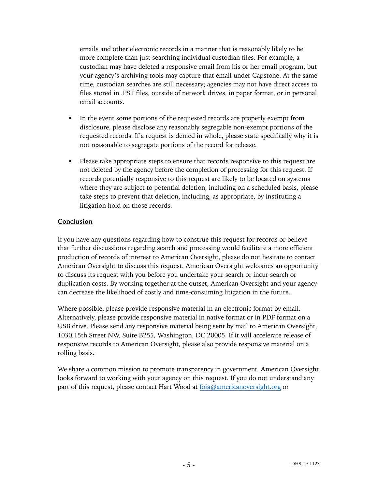emails and other electronic records in a manner that is reasonably likely to be more complete than just searching individual custodian files. For example, a custodian may have deleted a responsive email from his or her email program, but your agency's archiving tools may capture that email under Capstone. At the same time, custodian searches are still necessary; agencies may not have direct access to files stored in .PST files, outside of network drives, in paper format, or in personal email accounts.

- In the event some portions of the requested records are properly exempt from disclosure, please disclose any reasonably segregable non-exempt portions of the requested records. If a request is denied in whole, please state specifically why it is not reasonable to segregate portions of the record for release.
- Please take appropriate steps to ensure that records responsive to this request are not deleted by the agency before the completion of processing for this request. If records potentially responsive to this request are likely to be located on systems where they are subject to potential deletion, including on a scheduled basis, please take steps to prevent that deletion, including, as appropriate, by instituting a litigation hold on those records.

#### **Conclusion**

If you have any questions regarding how to construe this request for records or believe that further discussions regarding search and processing would facilitate a more efficient production of records of interest to American Oversight, please do not hesitate to contact American Oversight to discuss this request. American Oversight welcomes an opportunity to discuss its request with you before you undertake your search or incur search or duplication costs. By working together at the outset, American Oversight and your agency can decrease the likelihood of costly and time-consuming litigation in the future.

Where possible, please provide responsive material in an electronic format by email. Alternatively, please provide responsive material in native format or in PDF format on a USB drive. Please send any responsive material being sent by mail to American Oversight, 1030 15th Street NW, Suite B255, Washington, DC 20005. If it will accelerate release of responsive records to American Oversight, please also provide responsive material on a rolling basis.

We share a common mission to promote transparency in government. American Oversight looks forward to working with your agency on this request. If you do not understand any part of this request, please contact Hart Wood at foia@americanoversight.org or